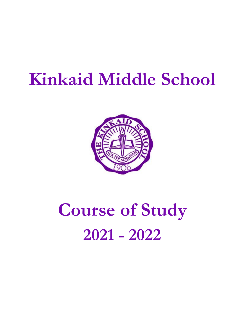## **Kinkaid Middle School**



# **Course of Study 2021 - 2022**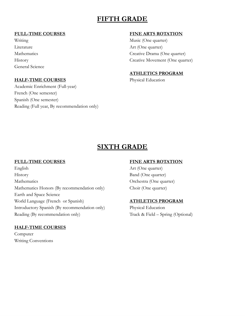## **FIFTH GRADE**

#### **FULL-TIME COURSES**

Writing Literature Mathematics History General Science

#### **HALF-TIME COURSES**

Academic Enrichment (Full-year) French (One semester) Spanish (One semester) Reading (Full year, By recommendation only)

#### **FINE ARTS ROTATION**

Music (One quarter) Art (One quarter) Creative Drama (One quarter) Creative Movement (One quarter)

#### **ATHLETICS PROGRAM**

Physical Education

### **SIXTH GRADE**

#### **FULL-TIME COURSES**

English History Mathematics Mathematics Honors (By recommendation only) Earth and Space Science World Language (French or Spanish) Introductory Spanish (By recommendation only) Reading (By recommendation only)

#### **HALF-TIME COURSES**

Computer Writing Conventions

#### **FINE ARTS ROTATION**

Art (One quarter) Band (One quarter) Orchestra (One quarter) Choir (One quarter)

#### **ATHLETICS PROGRAM**

Physical Education Track & Field – Spring (Optional)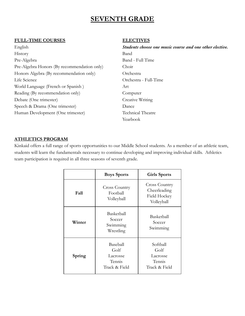## **SEVENTH GRADE**

#### **FULL-TIME COURSES**

English History Pre-Algebra Pre-Algebra Honors (By recommendation only) Honors Algebra (By recommendation only) Life Science World Language (French or Spanish ) Reading (By recommendation only) Debate (One trimester) Speech & Drama (One trimester) Human Development (One trimester)

#### **ELECTIVES**

*Students choose one music course and one other elective.* Band Band - Full Time Choir Orchestra Orchestra - Full-Time Art Computer Creative Writing Dance Technical Theatre Yearbook

#### **ATHLETICS PROGRAM**

Kinkaid offers a full range of sports opportunities to our Middle School students. As a member of an athletic team, students will learn the fundamentals necessary to continue developing and improving individual skills. Athletics team participation is required in all three seasons of seventh grade.

|        | <b>Boys Sports</b>                                      | <b>Girls Sports</b>                                                |
|--------|---------------------------------------------------------|--------------------------------------------------------------------|
| Fall   | <b>Cross Country</b><br>Football<br>Volleyball          | <b>Cross Country</b><br>Cheerleading<br>Field Hockey<br>Volleyball |
| Winter | Basketball<br>Soccer<br>Swimming<br>Wrestling           | Basketball<br>Soccer<br>Swimming                                   |
| Spring | Baseball<br>Golf<br>Lacrosse<br>Tennis<br>Track & Field | Softball<br>Golf<br>Lacrosse<br>Tennis<br>Track & Field            |